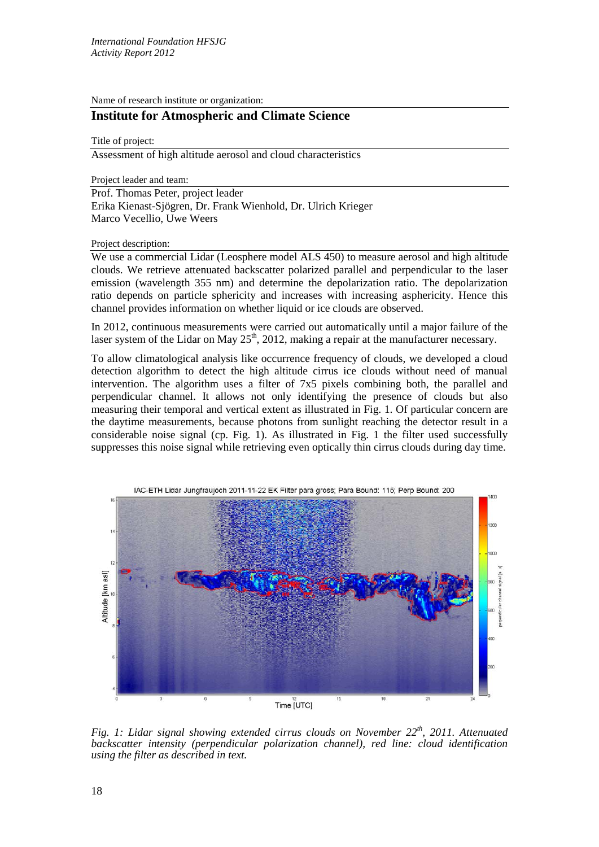Name of research institute or organization:

## **Institute for Atmospheric and Climate Science**

Title of project:

Assessment of high altitude aerosol and cloud characteristics

Project leader and team:

Prof. Thomas Peter, project leader Erika Kienast-Sjögren, Dr. Frank Wienhold, Dr. Ulrich Krieger Marco Vecellio, Uwe Weers

Project description:

We use a commercial Lidar (Leosphere model ALS 450) to measure aerosol and high altitude clouds. We retrieve attenuated backscatter polarized parallel and perpendicular to the laser emission (wavelength 355 nm) and determine the depolarization ratio. The depolarization ratio depends on particle sphericity and increases with increasing asphericity. Hence this channel provides information on whether liquid or ice clouds are observed.

In 2012, continuous measurements were carried out automatically until a major failure of the laser system of the Lidar on May  $25<sup>th</sup>$ , 2012, making a repair at the manufacturer necessary.

To allow climatological analysis like occurrence frequency of clouds, we developed a cloud detection algorithm to detect the high altitude cirrus ice clouds without need of manual intervention. The algorithm uses a filter of 7x5 pixels combining both, the parallel and perpendicular channel. It allows not only identifying the presence of clouds but also measuring their temporal and vertical extent as illustrated in Fig. 1. Of particular concern are the daytime measurements, because photons from sunlight reaching the detector result in a considerable noise signal (cp. Fig. 1). As illustrated in Fig. 1 the filter used successfully suppresses this noise signal while retrieving even optically thin cirrus clouds during day time.



*Fig. 1: Lidar signal showing extended cirrus clouds on November 22th, 2011. Attenuated backscatter intensity (perpendicular polarization channel), red line: cloud identification using the filter as described in text.*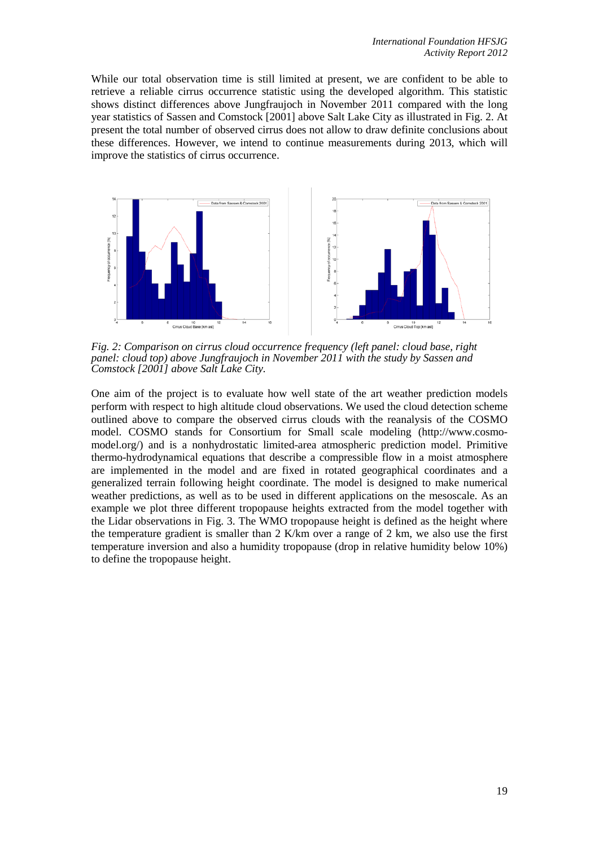While our total observation time is still limited at present, we are confident to be able to retrieve a reliable cirrus occurrence statistic using the developed algorithm. This statistic shows distinct differences above Jungfraujoch in November 2011 compared with the long year statistics of Sassen and Comstock [2001] above Salt Lake City as illustrated in Fig. 2. At present the total number of observed cirrus does not allow to draw definite conclusions about these differences. However, we intend to continue measurements during 2013, which will improve the statistics of cirrus occurrence.



*Fig. 2: Comparison on cirrus cloud occurrence frequency (left panel: cloud base, right panel: cloud top) above Jungfraujoch in November 2011 with the study by Sassen and Comstock [2001] above Salt Lake City.*

One aim of the project is to evaluate how well state of the art weather prediction models perform with respect to high altitude cloud observations. We used the cloud detection scheme outlined above to compare the observed cirrus clouds with the reanalysis of the COSMO model. COSMO stands for Consortium for Small scale modeling (http://www.cosmomodel.org/) and is a nonhydrostatic limited-area atmospheric prediction model. Primitive thermo-hydrodynamical equations that describe a compressible flow in a moist atmosphere are implemented in the model and are fixed in rotated geographical coordinates and a generalized terrain following height coordinate. The model is designed to make numerical weather predictions, as well as to be used in different applications on the mesoscale. As an example we plot three different tropopause heights extracted from the model together with the Lidar observations in Fig. 3. The WMO tropopause height is defined as the height where the temperature gradient is smaller than 2 K/km over a range of 2 km, we also use the first temperature inversion and also a humidity tropopause (drop in relative humidity below 10%) to define the tropopause height.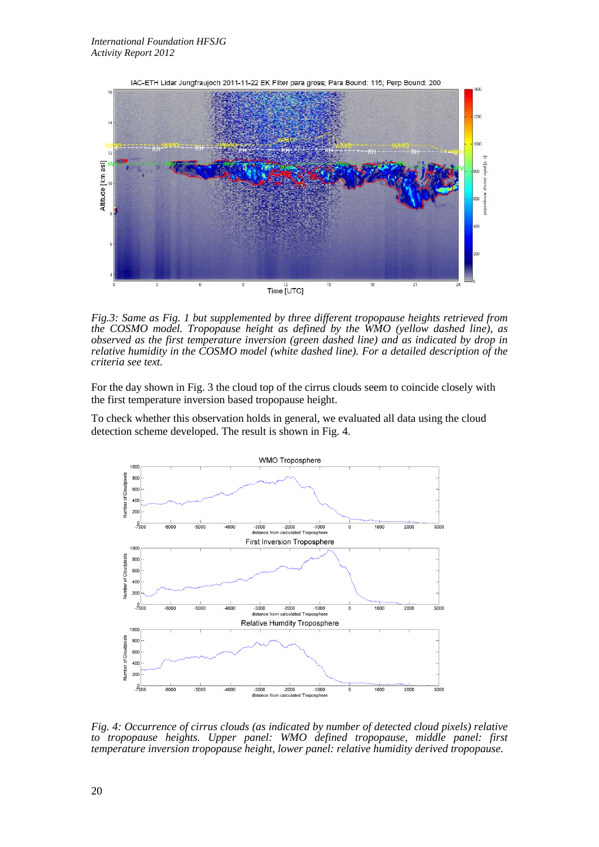

*Fig.3: Same as Fig. 1 but supplemented by three different tropopause heights retrieved from the COSMO model. Tropopause height as defined by the WMO (yellow dashed line), as observed as the first temperature inversion (green dashed line) and as indicated by drop in relative humidity in the COSMO model (white dashed line). For a detailed description of the criteria see text.*

For the day shown in Fig. 3 the cloud top of the cirrus clouds seem to coincide closely with the first temperature inversion based tropopause height.

To check whether this observation holds in general, we evaluated all data using the cloud detection scheme developed. The result is shown in Fig. 4.

![](_page_2_Figure_5.jpeg)

*Fig. 4: Occurrence of cirrus clouds (as indicated by number of detected cloud pixels) relative to tropopause heights. Upper panel: WMO defined tropopause, middle panel: first temperature inversion tropopause height, lower panel: relative humidity derived tropopause.*